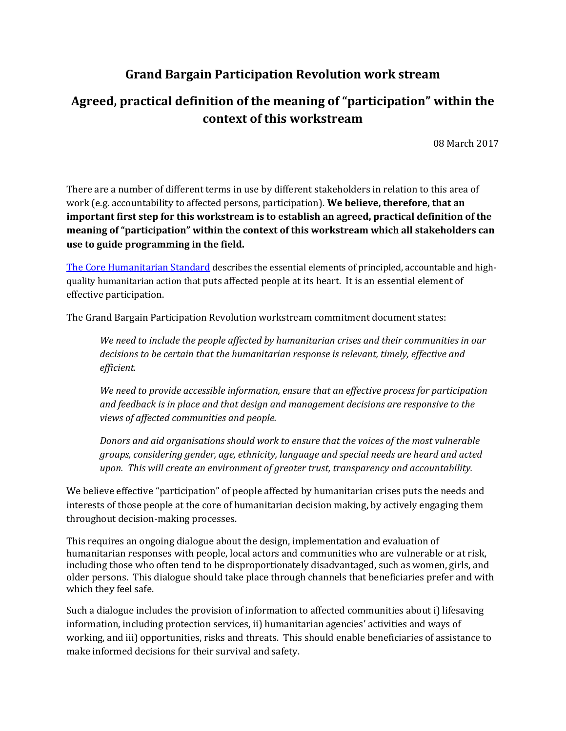## **Grand Bargain Participation Revolution work stream**

## **Agreed, practical definition of the meaning of "participation" within the context of this workstream**

08 March 2017

There are a number of different terms in use by different stakeholders in relation to this area of work (e.g. accountability to affected persons, participation). **We believe, therefore, that an important first step for this workstream is to establish an agreed, practical definition of the meaning of "participation" within the context of this workstream which all stakeholders can use to guide programming in the field.**

[The Core Humanitarian Standard](https://corehumanitarianstandard.org/the-standard) describes the essential elements of principled, accountable and highquality humanitarian action that puts affected people at its heart. It is an essential element of effective participation.

The Grand Bargain Participation Revolution workstream commitment document states:

*We need to include the people affected by humanitarian crises and their communities in our decisions to be certain that the humanitarian response is relevant, timely, effective and efficient.*

*We need to provide accessible information, ensure that an effective process for participation and feedback is in place and that design and management decisions are responsive to the views of affected communities and people.*

*Donors and aid organisations should work to ensure that the voices of the most vulnerable groups, considering gender, age, ethnicity, language and special needs are heard and acted upon. This will create an environment of greater trust, transparency and accountability.* 

We believe effective "participation" of people affected by humanitarian crises puts the needs and interests of those people at the core of humanitarian decision making, by actively engaging them throughout decision-making processes.

This requires an ongoing dialogue about the design, implementation and evaluation of humanitarian responses with people, local actors and communities who are vulnerable or at risk, including those who often tend to be disproportionately disadvantaged, such as women, girls, and older persons. This dialogue should take place through channels that beneficiaries prefer and with which they feel safe.

Such a dialogue includes the provision of information to affected communities about i) lifesaving information, including protection services, ii) humanitarian agencies' activities and ways of working, and iii) opportunities, risks and threats. This should enable beneficiaries of assistance to make informed decisions for their survival and safety.